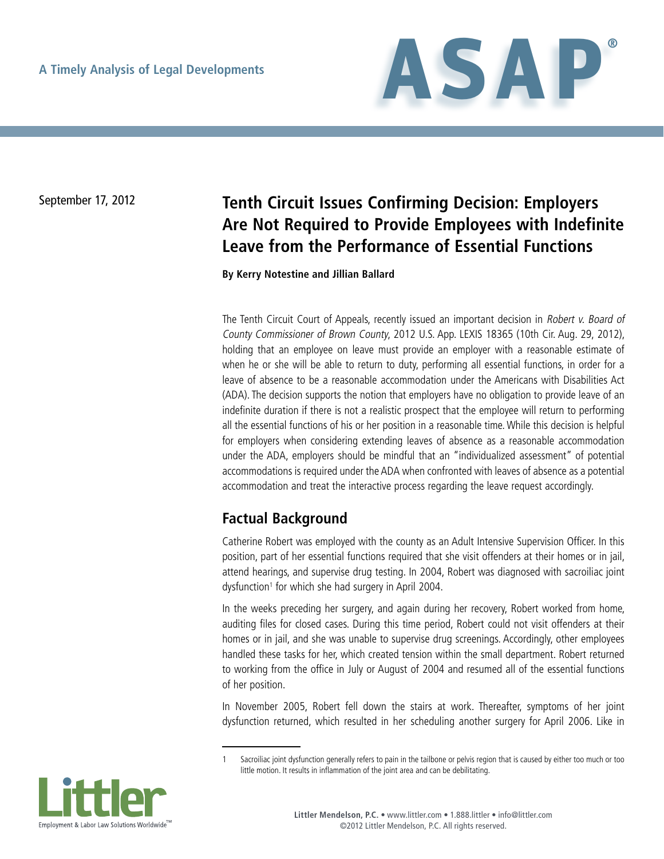

# September 17, 2012 **Tenth Circuit Issues Confirming Decision: Employers Are Not Required to Provide Employees with Indefinite Leave from the Performance of Essential Functions**

**By Kerry Notestine and Jillian Ballard**

The Tenth Circuit Court of Appeals, recently issued an important decision in Robert v. Board of County Commissioner of Brown County, 2012 U.S. App. LEXIS 18365 (10th Cir. Aug. 29, 2012), holding that an employee on leave must provide an employer with a reasonable estimate of when he or she will be able to return to duty, performing all essential functions, in order for a leave of absence to be a reasonable accommodation under the Americans with Disabilities Act (ADA). The decision supports the notion that employers have no obligation to provide leave of an indefinite duration if there is not a realistic prospect that the employee will return to performing all the essential functions of his or her position in a reasonable time. While this decision is helpful for employers when considering extending leaves of absence as a reasonable accommodation under the ADA, employers should be mindful that an "individualized assessment" of potential accommodations is required under the ADA when confronted with leaves of absence as a potential accommodation and treat the interactive process regarding the leave request accordingly.

## **Factual Background**

Catherine Robert was employed with the county as an Adult Intensive Supervision Officer. In this position, part of her essential functions required that she visit offenders at their homes or in jail, attend hearings, and supervise drug testing. In 2004, Robert was diagnosed with sacroiliac joint dysfunction<sup>1</sup> for which she had surgery in April 2004.

In the weeks preceding her surgery, and again during her recovery, Robert worked from home, auditing files for closed cases. During this time period, Robert could not visit offenders at their homes or in jail, and she was unable to supervise drug screenings. Accordingly, other employees handled these tasks for her, which created tension within the small department. Robert returned to working from the office in July or August of 2004 and resumed all of the essential functions of her position.

In November 2005, Robert fell down the stairs at work. Thereafter, symptoms of her joint dysfunction returned, which resulted in her scheduling another surgery for April 2006. Like in

Sacroiliac joint dysfunction generally refers to pain in the tailbone or pelvis region that is caused by either too much or too little motion. It results in inflammation of the joint area and can be debilitating.

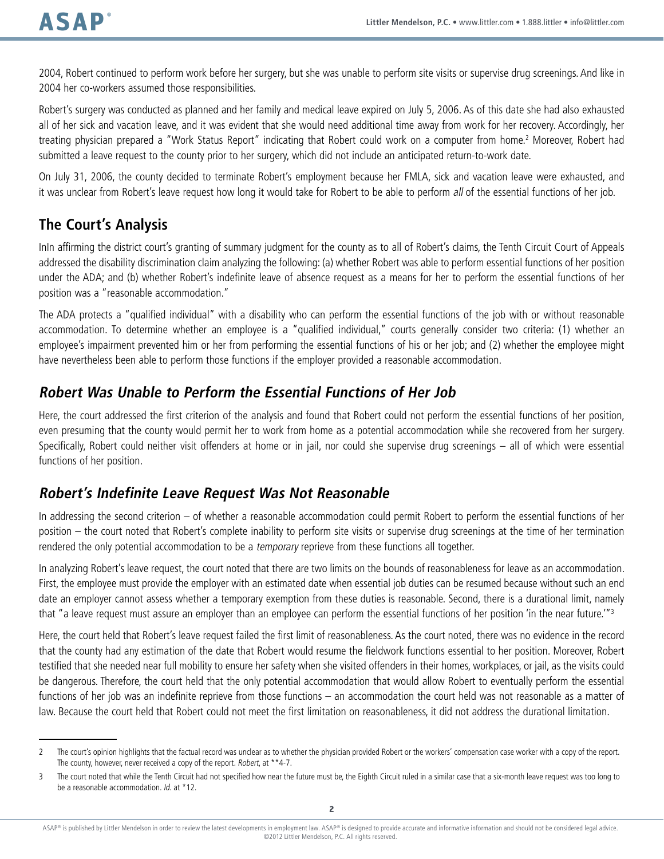2004, Robert continued to perform work before her surgery, but she was unable to perform site visits or supervise drug screenings. And like in 2004 her co-workers assumed those responsibilities.

Robert's surgery was conducted as planned and her family and medical leave expired on July 5, 2006. As of this date she had also exhausted all of her sick and vacation leave, and it was evident that she would need additional time away from work for her recovery. Accordingly, her treating physician prepared a "Work Status Report" indicating that Robert could work on a computer from home.<sup>2</sup> Moreover, Robert had submitted a leave request to the county prior to her surgery, which did not include an anticipated return-to-work date.

On July 31, 2006, the county decided to terminate Robert's employment because her FMLA, sick and vacation leave were exhausted, and it was unclear from Robert's leave request how long it would take for Robert to be able to perform all of the essential functions of her job.

### **The Court's Analysis**

InIn affirming the district court's granting of summary judgment for the county as to all of Robert's claims, the Tenth Circuit Court of Appeals addressed the disability discrimination claim analyzing the following: (a) whether Robert was able to perform essential functions of her position under the ADA; and (b) whether Robert's indefinite leave of absence request as a means for her to perform the essential functions of her position was a "reasonable accommodation."

The ADA protects a "qualified individual" with a disability who can perform the essential functions of the job with or without reasonable accommodation. To determine whether an employee is a "qualified individual," courts generally consider two criteria: (1) whether an employee's impairment prevented him or her from performing the essential functions of his or her job; and (2) whether the employee might have nevertheless been able to perform those functions if the employer provided a reasonable accommodation.

### **Robert Was Unable to Perform the Essential Functions of Her Job**

Here, the court addressed the first criterion of the analysis and found that Robert could not perform the essential functions of her position, even presuming that the county would permit her to work from home as a potential accommodation while she recovered from her surgery. Specifically, Robert could neither visit offenders at home or in jail, nor could she supervise drug screenings – all of which were essential functions of her position.

### **Robert's Indefinite Leave Request Was Not Reasonable**

In addressing the second criterion – of whether a reasonable accommodation could permit Robert to perform the essential functions of her position – the court noted that Robert's complete inability to perform site visits or supervise drug screenings at the time of her termination rendered the only potential accommodation to be a *temporary* reprieve from these functions all together.

In analyzing Robert's leave request, the court noted that there are two limits on the bounds of reasonableness for leave as an accommodation. First, the employee must provide the employer with an estimated date when essential job duties can be resumed because without such an end date an employer cannot assess whether a temporary exemption from these duties is reasonable. Second, there is a durational limit, namely that "a leave request must assure an employer than an employee can perform the essential functions of her position 'in the near future."<sup>3</sup>

Here, the court held that Robert's leave request failed the first limit of reasonableness. As the court noted, there was no evidence in the record that the county had any estimation of the date that Robert would resume the fieldwork functions essential to her position. Moreover, Robert testified that she needed near full mobility to ensure her safety when she visited offenders in their homes, workplaces, or jail, as the visits could be dangerous. Therefore, the court held that the only potential accommodation that would allow Robert to eventually perform the essential functions of her job was an indefinite reprieve from those functions – an accommodation the court held was not reasonable as a matter of law. Because the court held that Robert could not meet the first limitation on reasonableness, it did not address the durational limitation.

<sup>2</sup> The court's opinion highlights that the factual record was unclear as to whether the physician provided Robert or the workers' compensation case worker with a copy of the report. The county, however, never received a copy of the report. Robert, at \*\*4-7.

<sup>3</sup> The court noted that while the Tenth Circuit had not specified how near the future must be, the Eighth Circuit ruled in a similar case that a six-month leave request was too long to be a reasonable accommodation. Id. at \*12.